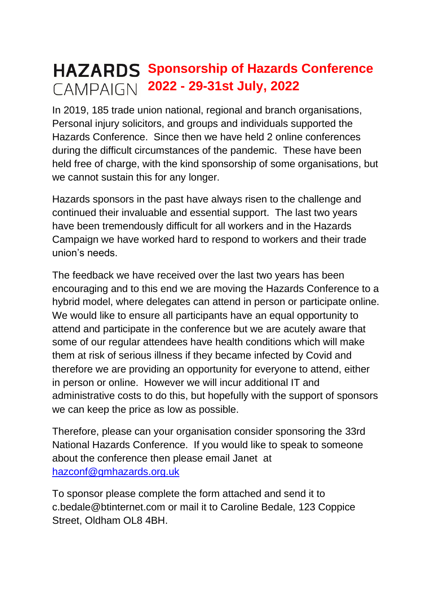## **HAZARDS** Sponsorship of Hazards Conference **2022 - 29-31st July, 2022**

In 2019, 185 trade union national, regional and branch organisations, Personal injury solicitors, and groups and individuals supported the Hazards Conference. Since then we have held 2 online conferences during the difficult circumstances of the pandemic. These have been held free of charge, with the kind sponsorship of some organisations, but we cannot sustain this for any longer.

Hazards sponsors in the past have always risen to the challenge and continued their invaluable and essential support. The last two years have been tremendously difficult for all workers and in the Hazards Campaign we have worked hard to respond to workers and their trade union's needs.

The feedback we have received over the last two years has been encouraging and to this end we are moving the Hazards Conference to a hybrid model, where delegates can attend in person or participate online. We would like to ensure all participants have an equal opportunity to attend and participate in the conference but we are acutely aware that some of our regular attendees have health conditions which will make them at risk of serious illness if they became infected by Covid and therefore we are providing an opportunity for everyone to attend, either in person or online. However we will incur additional IT and administrative costs to do this, but hopefully with the support of sponsors we can keep the price as low as possible.

Therefore, please can your organisation consider sponsoring the 33rd National Hazards Conference. If you would like to speak to someone about the conference then please email Janet at [hazconf@gmhazards.org.uk](mailto:hazconf@gmhazards.org.uk)

To sponsor please complete the form attached and send it to [c.bedale@btinternet.com](mailto:c.bedale@btinternet.com) or mail it to Caroline Bedale, 123 Coppice Street, Oldham OL8 4BH.